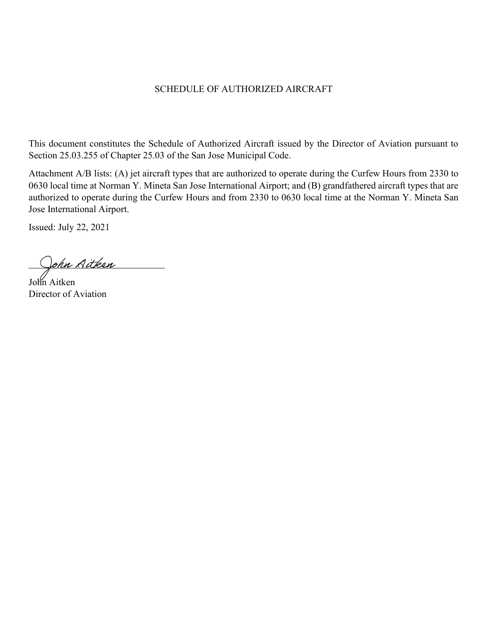## SCHEDULE OF AUTHORIZED AIRCRAFT

This document constitutes the Schedule of Authorized Aircraft issued by the Director of Aviation pursuant to Section 25.03.255 of Chapter 25.03 of the San Jose Municipal Code.

Attachment A/B lists: (A) jet aircraft types that are authorized to operate during the Curfew Hours from 2330 to 0630 local time at Norman Y. Mineta San Jose International Airport; and (B) grandfathered aircraft types that are authorized to operate during the Curfew Hours and from 2330 to 0630 local time at the Norman Y. Mineta San Jose International Airport.

Issued: July 22, 2021

John Aitken

John Aitken Director of Aviation